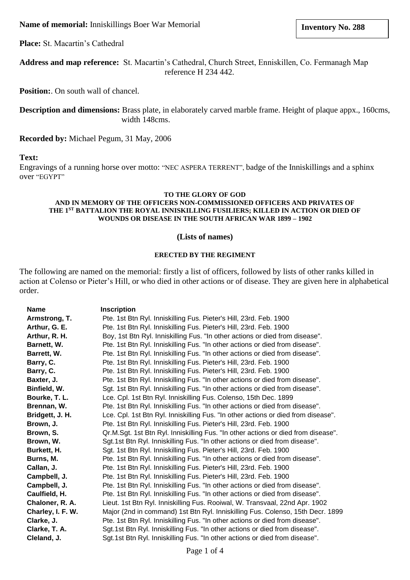## **Name of memorial:** Inniskillings Boer War Memorial

**Place:** St. Macartin's Cathedral

**Address and map reference:** St. Macartin's Cathedral, Church Street, Enniskillen, Co. Fermanagh Map reference H 234 442.

**Position:**. On south wall of chancel.

**Description and dimensions:** Brass plate, in elaborately carved marble frame. Height of plaque appx., 160cms, width 148cms.

**Recorded by:** Michael Pegum, 31 May, 2006

## **Text:**

Engravings of a running horse over motto: "NEC ASPERA TERRENT", badge of the Inniskillings and a sphinx over "EGYPT"

### **TO THE GLORY OF GOD**

#### **AND IN MEMORY OF THE OFFICERS NON-COMMISSIONED OFFICERS AND PRIVATES OF THE 1ST BATTALION THE ROYAL INNISKILLING FUSILIERS; KILLED IN ACTION OR DIED OF WOUNDS OR DISEASE IN THE SOUTH AFRICAN WAR 1899 – 1902**

### **(Lists of names)**

# **ERECTED BY THE REGIMENT**

The following are named on the memorial: firstly a list of officers, followed by lists of other ranks killed in action at Colenso or Pieter's Hill, or who died in other actions or of disease. They are given here in alphabetical order.

| <b>Name</b>       | <b>Inscription</b>                                                                |
|-------------------|-----------------------------------------------------------------------------------|
| Armstrong, T.     | Pte. 1st Btn Ryl. Inniskilling Fus. Pieter's Hill, 23rd. Feb. 1900                |
| Arthur, G. E.     | Pte. 1st Btn Ryl. Inniskilling Fus. Pieter's Hill, 23rd. Feb. 1900                |
| Arthur, R. H.     | Boy, 1st Btn Ryl. Inniskilling Fus. "In other actions or died from disease".      |
| Barnett, W.       | Pte. 1st Btn Ryl. Inniskilling Fus. "In other actions or died from disease".      |
| Barrett, W.       | Pte. 1st Btn Ryl. Inniskilling Fus. "In other actions or died from disease".      |
| Barry, C.         | Pte. 1st Btn Ryl. Inniskilling Fus. Pieter's Hill, 23rd. Feb. 1900                |
| Barry, C.         | Pte. 1st Btn Ryl. Inniskilling Fus. Pieter's Hill, 23rd. Feb. 1900                |
| Baxter, J.        | Pte. 1st Btn Ryl. Inniskilling Fus. "In other actions or died from disease".      |
| Binfield, W.      | Sgt. 1st Btn Ryl. Inniskilling Fus. "In other actions or died from disease".      |
| Bourke, T. L.     | Lce. Cpl. 1st Btn Ryl. Inniskilling Fus. Colenso, 15th Dec. 1899                  |
| Brennan, W.       | Pte. 1st Btn Ryl. Inniskilling Fus. "In other actions or died from disease".      |
| Bridgett, J. H.   | Lce. Cpl. 1st Btn Ryl. Inniskilling Fus. "In other actions or died from disease". |
| Brown, J.         | Pte. 1st Btn Ryl. Inniskilling Fus. Pieter's Hill, 23rd. Feb. 1900                |
| Brown, S.         | Qr.M.Sgt. 1st Btn Ryl. Inniskilling Fus. "In other actions or died from disease". |
| Brown, W.         | Sgt.1st Btn Ryl. Inniskilling Fus. "In other actions or died from disease".       |
| Burkett, H.       | Sgt. 1st Btn Ryl. Inniskilling Fus. Pieter's Hill, 23rd. Feb. 1900                |
| Burns, M.         | Pte. 1st Btn Ryl. Inniskilling Fus. "In other actions or died from disease".      |
| Callan, J.        | Pte. 1st Btn Ryl. Inniskilling Fus. Pieter's Hill, 23rd. Feb. 1900                |
| Campbell, J.      | Pte. 1st Btn Ryl. Inniskilling Fus. Pieter's Hill, 23rd. Feb. 1900                |
| Campbell, J.      | Pte. 1st Btn Ryl. Inniskilling Fus. "In other actions or died from disease".      |
| Caulfield, H.     | Pte. 1st Btn Ryl. Inniskilling Fus. "In other actions or died from disease".      |
| Chaloner, R. A.   | Lieut. 1st Btn Ryl. Inniskilling Fus. Rooiwal, W. Transvaal, 22nd Apr. 1902       |
| Charley, I. F. W. | Major (2nd in command) 1st Btn Ryl. Inniskilling Fus. Colenso, 15th Decr. 1899    |
| Clarke, J.        | Pte. 1st Btn Ryl. Inniskilling Fus. "In other actions or died from disease".      |
| Clarke, T. A.     | Sgt.1st Btn Ryl. Inniskilling Fus. "In other actions or died from disease".       |
| Cleland, J.       | Sgt.1st Btn Ryl. Inniskilling Fus. "In other actions or died from disease".       |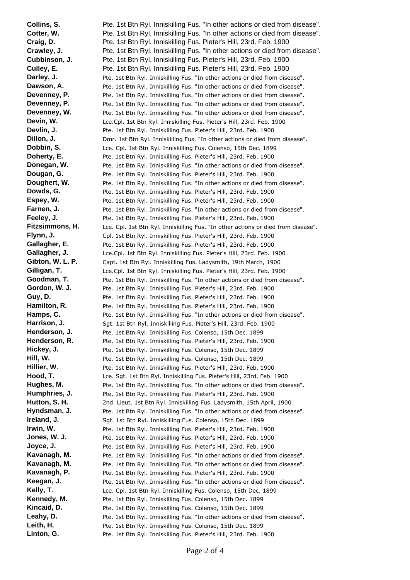**Collins, S.** Pte. 1st Btn Ryl. Inniskilling Fus. "In other actions or died from disease". **Cotter, W.** Pte. 1st Btn Ryl. Inniskilling Fus. "In other actions or died from disease". **Craig, D. Pte. 1st Btn Ryl. Inniskilling Fus. Pieter's Hill, 23rd. Feb. 1900 Crawley, J.** Pte. 1st Btn Ryl. Inniskilling Fus. "In other actions or died from disease". **Cubbinson, J.** Pte. 1st Btn Ryl. Inniskilling Fus. Pieter's Hill, 23rd. Feb. 1900 **Culley, E.** Pte. 1st Btn Ryl. Inniskilling Fus. Pieter's Hill, 23rd. Feb. 1900 **Darley, J.** Pte. 1st Btn Ryl. Inniskilling Fus. "In other actions or died from disease". **Dawson, A.** Pte. 1st Btn Ryl. Inniskilling Fus. "In other actions or died from disease". **Devenney, P.** Pte. 1st Btn Ryl. Inniskilling Fus. "In other actions or died from disease". **Devenney, P.** Pte. 1st Btn Ryl. Inniskilling Fus. "In other actions or died from disease". **Devenney, W.** Pte. 1st Btn Ryl. Inniskilling Fus. "In other actions or died from disease". **Devin, W.** Lce.Cpl. 1st Btn Ryl. Inniskilling Fus. Pieter's Hill, 23rd. Feb. 1900 **Devlin, J.** Pte. 1st Btn Ryl. Inniskilling Fus. Pieter's Hill, 23rd. Feb. 1900 **Dillon, J.** Dmr. 1st Btn Ryl. Inniskilling Fus. "In other actions or died from disease". **Dobbin, S.** Lce. Cpl. 1st Btn Ryl. Inniskilling Fus. Colenso, 15th Dec. 1899 **Doherty, E.** Pte. 1st Btn Ryl. Inniskilling Fus. Pieter's Hill, 23rd. Feb. 1900 **Donegan, W.** Pte. 1st Btn Ryl. Inniskilling Fus. "In other actions or died from disease". **Dougan, G.** Pte. 1st Btn Ryl. Inniskilling Fus. Pieter's Hill, 23rd. Feb. 1900 **Doughert, W.** Pte. 1st Btn Ryl. Inniskilling Fus. "In other actions or died from disease". **Dowds, G.** Pte. 1st Btn Ryl. Inniskilling Fus. Pieter's Hill, 23rd. Feb. 1900 **Espey, W.** Pte. 1st Btn Ryl. Inniskilling Fus. Pieter's Hill, 23rd. Feb. 1900 **Farnen, J.** Pte. 1st Btn Ryl. Inniskilling Fus. "In other actions or died from disease". **Feeley, J. Pte. 1st Btn Ryl. Inniskilling Fus. Pieter's Hill, 23rd. Feb. 1900** Fitzsimmons, H. Lce. Cpl. 1st Btn Ryl. Inniskilling Fus. "In other actions or died from disease". **Flynn, J.** Cpl. 1st Btn Ryl. Inniskilling Fus. Pieter's Hill, 23rd. Feb. 1900 Gallagher, E. Pte. 1st Btn Ryl. Inniskilling Fus. Pieter's Hill, 23rd. Feb. 1900 Gallagher, J. Lce.Cpl. 1st Btn Ryl. Inniskilling Fus. Pieter's Hill, 23rd. Feb. 1900 Gibton, W. L. P. Capt. 1st Btn Ryl. Inniskilling Fus. Ladysmith, 19th March, 1900 **Gilligan, T.** Lce.Cpl. 1st Btn Ryl. Inniskilling Fus. Pieter's Hill, 23rd. Feb. 1900 **Goodman, T.** Pte. 1st Btn Ryl. Inniskilling Fus. "In other actions or died from disease". Gordon, W. J. Pte. 1st Btn Ryl. Inniskilling Fus. Pieter's Hill, 23rd. Feb. 1900 Guy, D. **Bugger Blugger Pte.** 1st Btn Ryl. Inniskilling Fus. Pieter's Hill, 23rd. Feb. 1900 Hamilton, R. Pte. 1st Btn Ryl. Inniskilling Fus. Pieter's Hill, 23rd. Feb. 1900 **Hamps, C.** Pte. 1st Btn Ryl. Inniskilling Fus. "In other actions or died from disease". Harrison, J. Sgt. 1st Btn Ryl. Inniskilling Fus. Pieter's Hill, 23rd. Feb. 1900 **Henderson, J.** Pte. 1st Btn Ryl. Inniskilling Fus. Colenso, 15th Dec. 1899 Henderson, R. Pte. 1st Btn Ryl. Inniskilling Fus. Pieter's Hill, 23rd. Feb. 1900 Hickey, J. Pte. 1st Btn Ryl. Inniskilling Fus. Colenso, 15th Dec. 1899 Hill, W. Pte. 1st Btn Ryl. Inniskilling Fus. Colenso, 15th Dec. 1899 Hillier, W. Pte. 1st Btn Ryl. Inniskilling Fus. Pieter's Hill, 23rd. Feb. 1900 **Hood, T.** Lce. Sgt. 1st Btn Ryl. Inniskilling Fus. Pieter's Hill, 23rd. Feb. 1900 Hughes, M. Pte. 1st Btn Ryl. Inniskilling Fus. "In other actions or died from disease". **Humphries, J.** Pte. 1st Btn Ryl. Inniskilling Fus. Pieter's Hill, 23rd. Feb. 1900 Hutton, S. H. 2nd. Lieut. 1st Btn Ryl. Inniskilling Fus. Ladysmith, 15th April, 1900 **Hyndsman, J.** Pte. 1st Btn Ryl. Inniskilling Fus. "In other actions or died from disease". **Ireland, J.** Sgt. 1st Btn Ryl. Inniskilling Fus. Colenso, 15th Dec. 1899 **Irwin, W. Pte. 1st Btn Ryl. Inniskilling Fus. Pieter's Hill, 23rd. Feb. 1900 Jones, W. J.** Pte. 1st Btn Ryl. Inniskilling Fus. Pieter's Hill, 23rd. Feb. 1900 **Joyce, J.** Pte. 1st Btn Ryl. Inniskilling Fus. Pieter's Hill, 23rd. Feb. 1900 Kavanagh, M. Pte. 1st Btn Ryl. Inniskilling Fus. "In other actions or died from disease". Kavanagh, M. Pte. 1st Btn Ryl. Inniskilling Fus. "In other actions or died from disease". Kavanagh, P. Pte. 1st Btn Ryl. Inniskilling Fus. Pieter's Hill, 23rd. Feb. 1900 Keegan, J. Pte. 1st Btn Ryl. Inniskilling Fus. "In other actions or died from disease". Kelly, T. **Kelly, T.** Lce. Cpl. 1st Btn Ryl. Inniskilling Fus. Colenso, 15th Dec. 1899 Kennedy, M. Pte. 1st Btn Ryl. Inniskilling Fus. Colenso, 15th Dec. 1899 Kincaid, D. Pte. 1st Btn Ryl. Inniskilling Fus. Colenso, 15th Dec. 1899 Leahy, D. **Phe.** 1st Btn Ryl. Inniskilling Fus. "In other actions or died from disease". Leith, H. Pte. 1st Btn Ryl. Inniskilling Fus. Colenso, 15th Dec. 1899 Linton, G. Pte. 1st Btn Ryl. Inniskilling Fus. Pieter's Hill, 23rd. Feb. 1900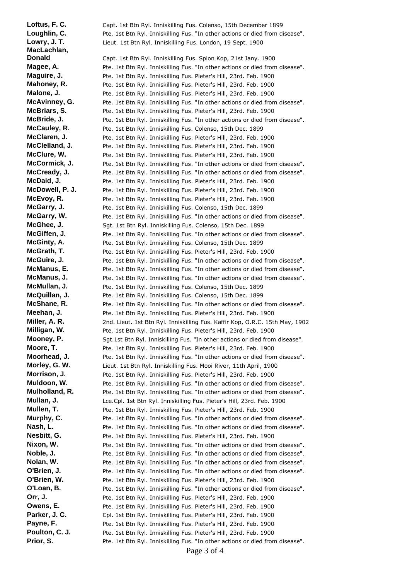Loftus, F. C. Capt. 1st Btn Ryl. Inniskilling Fus. Colenso, 15th December 1899 Loughlin, C. Pte. 1st Btn Ryl. Inniskilling Fus. "In other actions or died from disease". Lowry, J. T. **Lieut.** 1st Btn Ryl. Inniskilling Fus. London, 19 Sept. 1900 **MacLachlan, Donald** Capt. 1st Btn Ryl. Inniskilling Fus. Spion Kop, 21st Jany. 1900 **Magee, A.** Pte. 1st Btn Ryl. Inniskilling Fus. "In other actions or died from disease". **Maguire, J.** Pte. 1st Btn Ryl. Inniskilling Fus. Pieter's Hill, 23rd. Feb. 1900 **Mahoney, R.** Pte. 1st Btn Ryl. Inniskilling Fus. Pieter's Hill, 23rd. Feb. 1900 **Malone, J.** Pte. 1st Btn Ryl. Inniskilling Fus. Pieter's Hill, 23rd. Feb. 1900 **McAvinney, G.** Pte. 1st Btn Ryl. Inniskilling Fus. "In other actions or died from disease". **McBriars, S.** Pte. 1st Btn Ryl. Inniskilling Fus. Pieter's Hill, 23rd. Feb. 1900 **McBride, J.** Pte. 1st Btn Ryl. Inniskilling Fus. "In other actions or died from disease". McCauley, R. Pte. 1st Btn Ryl. Inniskilling Fus. Colenso, 15th Dec. 1899 **McClaren, J.** Pte. 1st Btn Ryl. Inniskilling Fus. Pieter's Hill, 23rd. Feb. 1900 **McClelland, J.** Pte. 1st Btn Ryl. Inniskilling Fus. Pieter's Hill, 23rd. Feb. 1900 **McClure, W.** Pte. 1st Btn Ryl. Inniskilling Fus. Pieter's Hill, 23rd. Feb. 1900 **McCormick, J.** Pte. 1st Btn Ryl. Inniskilling Fus. "In other actions or died from disease". **McCready, J.** Pte. 1st Btn Ryl. Inniskilling Fus. "In other actions or died from disease". **McDaid, J.** Pte. 1st Btn Ryl. Inniskilling Fus. Pieter's Hill, 23rd. Feb. 1900 **McDowell, P. J.** Pte. 1st Btn Ryl. Inniskilling Fus. Pieter's Hill, 23rd. Feb. 1900 **McEvoy, R.** Pte. 1st Btn Ryl. Inniskilling Fus. Pieter's Hill, 23rd. Feb. 1900 McGarry, J. Pte. 1st Btn Ryl. Inniskilling Fus. Colenso, 15th Dec. 1899 **McGarry, W.** Pte. 1st Btn Ryl. Inniskilling Fus. "In other actions or died from disease". McGhee, J. Sgt. 1st Btn Ryl. Inniskilling Fus. Colenso, 15th Dec. 1899 **McGiffen, J.** Pte. 1st Btn Ryl. Inniskilling Fus. "In other actions or died from disease". McGinty, A. Pte. 1st Btn Ryl. Inniskilling Fus. Colenso, 15th Dec. 1899 **McGrath, T.** Pte. 1st Btn Ryl. Inniskilling Fus. Pieter's Hill, 23rd. Feb. 1900 **McGuire, J.** Pte. 1st Btn Ryl. Inniskilling Fus. "In other actions or died from disease". **McManus, E.** Pte. 1st Btn Ryl. Inniskilling Fus. "In other actions or died from disease". **McManus, J.** Pte. 1st Btn Ryl. Inniskilling Fus. "In other actions or died from disease". McMullan, J. Pte. 1st Btn Ryl. Inniskilling Fus. Colenso, 15th Dec. 1899 **McQuillan, J.** Pte. 1st Btn Ryl. Inniskilling Fus. Colenso, 15th Dec. 1899 **McShane, R.** Pte. 1st Btn Ryl. Inniskilling Fus. "In other actions or died from disease". **Meehan, J.** Pte. 1st Btn Ryl. Inniskilling Fus. Pieter's Hill, 23rd. Feb. 1900 **Miller, A. R.** 2nd. Lieut. 1st Btn Ryl. Inniskilling Fus. Kaffir Kop, O.R.C. 15th May, 1902 **Milligan, W.** Pte. 1st Btn Ryl. Inniskilling Fus. Pieter's Hill, 23rd. Feb. 1900 **Mooney, P.** Sgt.1st Btn Ryl. Inniskilling Fus. "In other actions or died from disease". **Moore, T.** Pte. 1st Btn Ryl. Inniskilling Fus. Pieter's Hill, 23rd. Feb. 1900 **Moorhead, J.** Pte. 1st Btn Ryl. Inniskilling Fus. "In other actions or died from disease". **Morley, G. W.** Lieut. 1st Btn Ryl. Inniskilling Fus. Mooi River, 11th April, 1900 **Morrison, J.** Pte. 1st Btn Ryl. Inniskilling Fus. Pieter's Hill, 23rd. Feb. 1900 **Muldoon, W.** Pte. 1st Btn Ryl. Inniskilling Fus. "In other actions or died from disease". **Mulholland, R.** Pte. 1st Btn Ryl. Inniskilling Fus. "In other actions or died from disease". **Mullan, J.** Lce.Cpl. 1st Btn Ryl. Inniskilling Fus. Pieter's Hill, 23rd. Feb. 1900 **Mullen, T.** Pte. 1st Btn Ryl. Inniskilling Fus. Pieter's Hill, 23rd. Feb. 1900 **Murphy, C.** Pte. 1st Btn Ryl. Inniskilling Fus. "In other actions or died from disease". **Nash, L.** Pte. 1st Btn Ryl. Inniskilling Fus. "In other actions or died from disease". **Nesbitt, G.** Pte. 1st Btn Ryl. Inniskilling Fus. Pieter's Hill, 23rd. Feb. 1900 **Nixon, W.** Pte. 1st Btn Ryl. Inniskilling Fus. "In other actions or died from disease". **Noble, J.** Pte. 1st Btn Ryl. Inniskilling Fus. "In other actions or died from disease". **Nolan, W.** Pte. 1st Btn Ryl. Inniskilling Fus. "In other actions or died from disease". **O'Brien, J.** Pte. 1st Btn Ryl. Inniskilling Fus. "In other actions or died from disease". **O'Brien, W.** Pte. 1st Btn Ryl. Inniskilling Fus. Pieter's Hill, 23rd. Feb. 1900 **O'Loan, B.** Pte. 1st Btn Ryl. Inniskilling Fus. "In other actions or died from disease". **Orr, J.** Pte. 1st Btn Ryl. Inniskilling Fus. Pieter's Hill, 23rd. Feb. 1900 **Owens, E.** Pte. 1st Btn Ryl. Inniskilling Fus. Pieter's Hill, 23rd. Feb. 1900 Parker, J. C. C. Cpl. 1st Btn Ryl. Inniskilling Fus. Pieter's Hill, 23rd. Feb. 1900 Payne, F. Pte. 1st Btn Ryl. Inniskilling Fus. Pieter's Hill, 23rd. Feb. 1900 **Poulton, C. J.** Pte. 1st Btn Ryl. Inniskilling Fus. Pieter's Hill, 23rd. Feb. 1900 **Prior, S.** Pte. 1st Btn Ryl. Inniskilling Fus. "In other actions or died from disease".